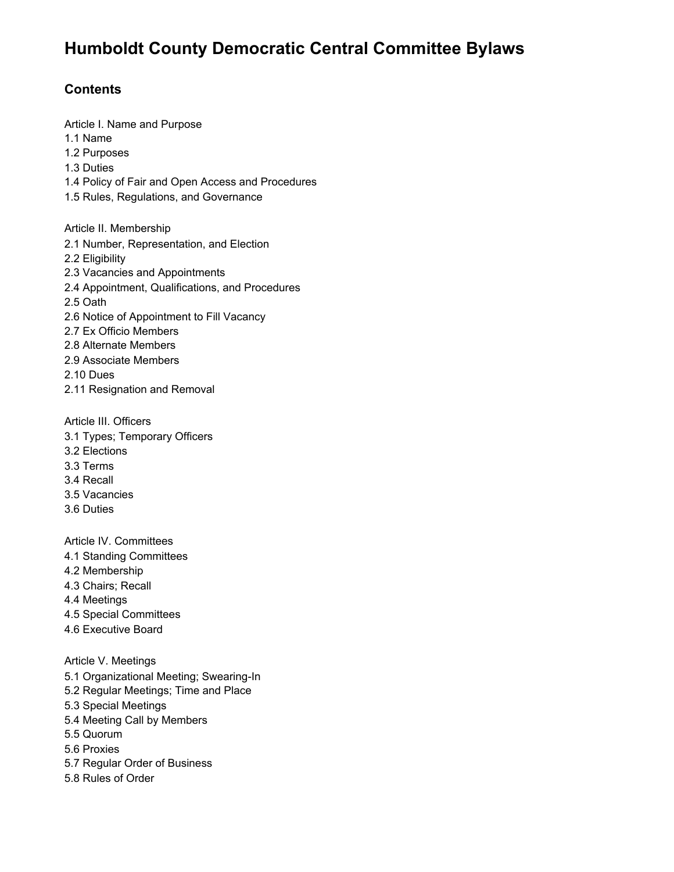# **Humboldt County Democratic Central Committee Bylaws**

# **Contents**

Article I. Name and Purpose 1.1 Name 1.2 Purposes 1.3 Duties 1.4 Policy of Fair and Open Access and Procedures 1.5 Rules, Regulations, and Governance Article II. Membership 2.1 Number, Representation, and Election 2.2 Eligibility 2.3 Vacancies and Appointments 2.4 Appointment, Qualifications, and Procedures 2.5 Oath 2.6 Notice of Appointment to Fill Vacancy 2.7 Ex Officio Members 2.8 Alternate Members 2.9 Associate Members 2.10 Dues 2.11 Resignation and Removal

Article III. Officers

- 3.1 Types; Temporary Officers
- 3.2 Elections
- 3.3 Terms
- 3.4 Recall
- 3.5 Vacancies
- 3.6 Duties

Article IV. Committees

- 4.1 Standing Committees
- 4.2 Membership
- 4.3 Chairs; Recall
- 4.4 Meetings
- 4.5 Special Committees
- 4.6 Executive Board

Article V. Meetings

- 5.1 Organizational Meeting; Swearing-In
- 5.2 Regular Meetings; Time and Place
- 5.3 Special Meetings
- 5.4 Meeting Call by Members
- 5.5 Quorum
- 5.6 Proxies
- 5.7 Regular Order of Business
- 5.8 Rules of Order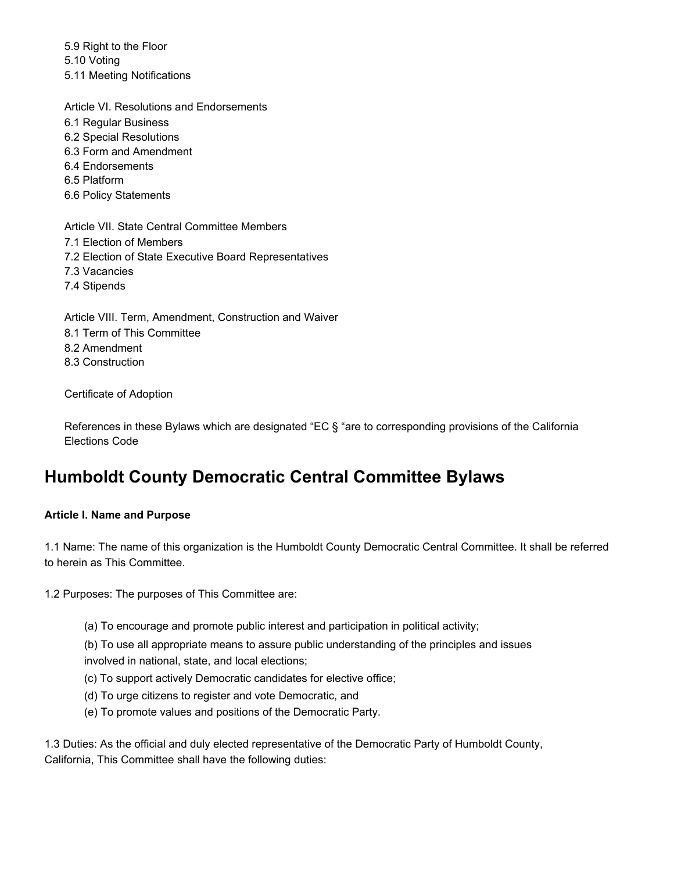5.9 Right to the Floor 5.10 Voting 5.11 Meeting Notifications

Article VI. Resolutions and Endorsements 6.1 Regular Business 6.2 Special Resolutions 6.3 Form and Amendment 6.4 Endorsements 6.5 Platform 6.6 Policy Statements

Article VII. State Central Committee Members 7.1 Election of Members 7.2 Election of State Executive Board Representatives 7.3 Vacancies 7.4 Stipends

Article VIII. Term, Amendment, Construction and Waiver 8.1 Term of This Committee 8.2 Amendment 8.3 Construction

Certificate of Adoption

References in these Bylaws which are designated "EC § "are to corresponding provisions of the California Elections Code

# **Humboldt County Democratic Central Committee Bylaws**

#### **Article I. Name and Purpose**

1.1 Name: The name of this organization is the Humboldt County Democratic Central Committee. It shall be referred to herein as This Committee.

1.2 Purposes: The purposes of This Committee are:

(a) To encourage and promote public interest and participation in political activity;

(b) To use all appropriate means to assure public understanding of the principles and issues involved in national, state, and local elections;

- (c) To support actively Democratic candidates for elective office;
- (d) To urge citizens to register and vote Democratic, and
- (e) To promote values and positions of the Democratic Party.

1.3 Duties: As the official and duly elected representative of the Democratic Party of Humboldt County, California, This Committee shall have the following duties: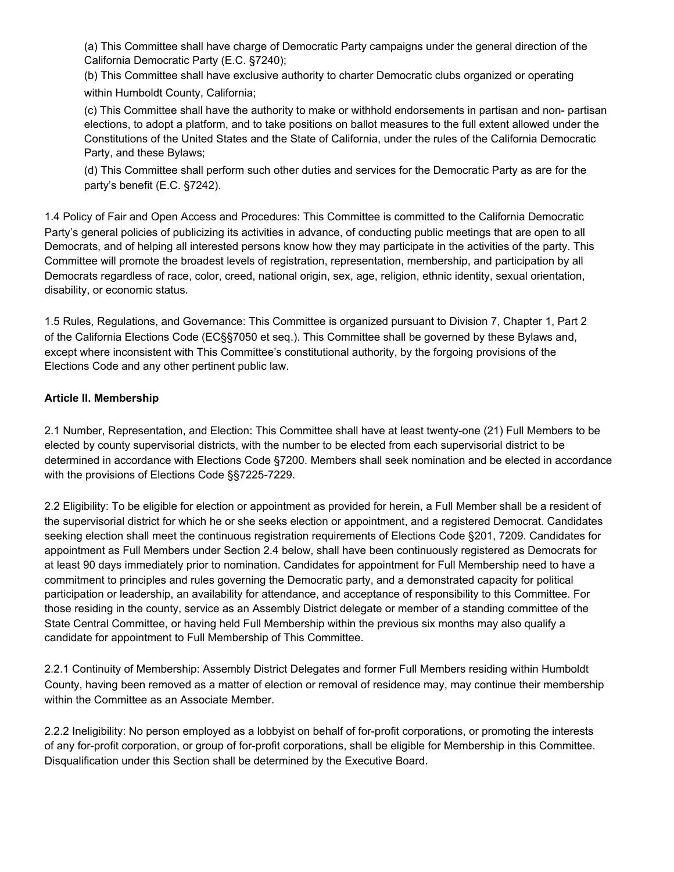(a) This Committee shall have charge of Democratic Party campaigns under the general direction of the California Democratic Party (E.C. §7240);

(b) This Committee shall have exclusive authority to charter Democratic clubs organized or operating within Humboldt County, California;

(c) This Committee shall have the authority to make or withhold endorsements in partisan and non- partisan elections, to adopt a platform, and to take positions on ballot measures to the full extent allowed under the Constitutions of the United States and the State of California, under the rules of the California Democratic Party, and these Bylaws;

(d) This Committee shall perform such other duties and services for the Democratic Party as are for the party's benefit (E.C. §7242).

1.4 Policy of Fair and Open Access and Procedures: This Committee is committed to the California Democratic Party's general policies of publicizing its activities in advance, of conducting public meetings that are open to all Democrats, and of helping all interested persons know how they may participate in the activities of the party. This Committee will promote the broadest levels of registration, representation, membership, and participation by all Democrats regardless of race, color, creed, national origin, sex, age, religion, ethnic identity, sexual orientation, disability, or economic status.

1.5 Rules, Regulations, and Governance: This Committee is organized pursuant to Division 7, Chapter 1, Part 2 of the California Elections Code (EC§§7050 et seq.). This Committee shall be governed by these Bylaws and, except where inconsistent with This Committee's constitutional authority, by the forgoing provisions of the Elections Code and any other pertinent public law.

## **Article II. Membership**

2.1 Number, Representation, and Election: This Committee shall have at least twenty-one (21) Full Members to be elected by county supervisorial districts, with the number to be elected from each supervisorial district to be determined in accordance with Elections Code §7200. Members shall seek nomination and be elected in accordance with the provisions of Elections Code §§7225-7229.

2.2 Eligibility: To be eligible for election or appointment as provided for herein, a Full Member shall be a resident of the supervisorial district for which he or she seeks election or appointment, and a registered Democrat. Candidates seeking election shall meet the continuous registration requirements of Elections Code §201, 7209. Candidates for appointment as Full Members under Section 2.4 below, shall have been continuously registered as Democrats for at least 90 days immediately prior to nomination. Candidates for appointment for Full Membership need to have a commitment to principles and rules governing the Democratic party, and a demonstrated capacity for political participation or leadership, an availability for attendance, and acceptance of responsibility to this Committee. For those residing in the county, service as an Assembly District delegate or member of a standing committee of the State Central Committee, or having held Full Membership within the previous six months may also qualify a candidate for appointment to Full Membership of This Committee.

2.2.1 Continuity of Membership: Assembly District Delegates and former Full Members residing within Humboldt County, having been removed as a matter of election or removal of residence may, may continue their membership within the Committee as an Associate Member.

2.2.2 Ineligibility: No person employed as a lobbyist on behalf of for-profit corporations, or promoting the interests of any for-profit corporation, or group of for-profit corporations, shall be eligible for Membership in this Committee. Disqualification under this Section shall be determined by the Executive Board.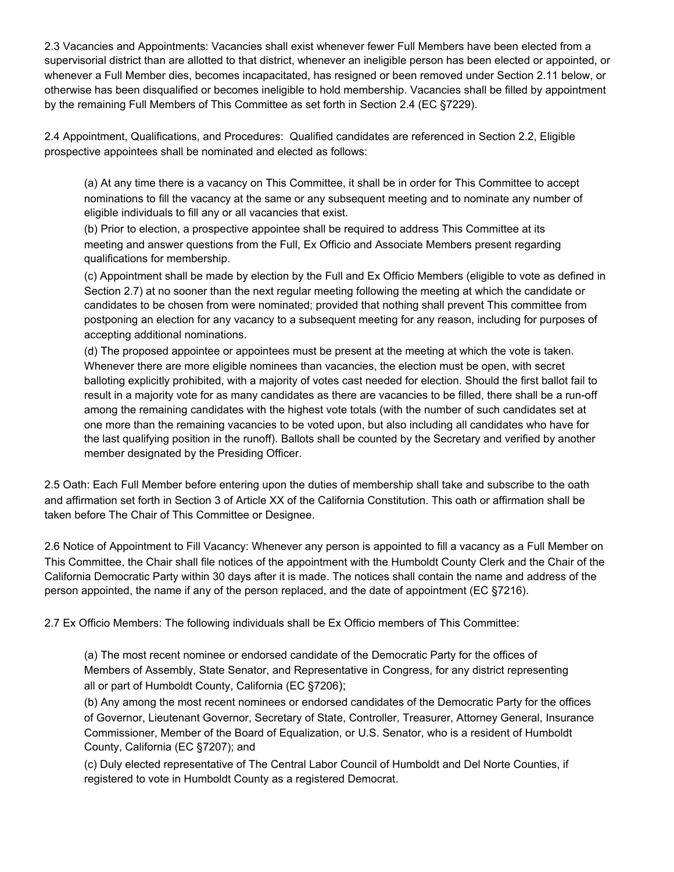2.3 Vacancies and Appointments: Vacancies shall exist whenever fewer Full Members have been elected from a supervisorial district than are allotted to that district, whenever an ineligible person has been elected or appointed, or whenever a Full Member dies, becomes incapacitated, has resigned or been removed under Section 2.11 below, or otherwise has been disqualified or becomes ineligible to hold membership. Vacancies shall be filled by appointment by the remaining Full Members of This Committee as set forth in Section 2.4 (EC §7229).

2.4 Appointment, Qualifications, and Procedures: Qualified candidates are referenced in Section 2.2, Eligible prospective appointees shall be nominated and elected as follows:

(a) At any time there is a vacancy on This Committee, it shall be in order for This Committee to accept nominations to fill the vacancy at the same or any subsequent meeting and to nominate any number of eligible individuals to fill any or all vacancies that exist.

(b) Prior to election, a prospective appointee shall be required to address This Committee at its meeting and answer questions from the Full, Ex Officio and Associate Members present regarding qualifications for membership.

(c) Appointment shall be made by election by the Full and Ex Officio Members (eligible to vote as defined in Section 2.7) at no sooner than the next regular meeting following the meeting at which the candidate or candidates to be chosen from were nominated; provided that nothing shall prevent This committee from postponing an election for any vacancy to a subsequent meeting for any reason, including for purposes of accepting additional nominations.

(d) The proposed appointee or appointees must be present at the meeting at which the vote is taken. Whenever there are more eligible nominees than vacancies, the election must be open, with secret balloting explicitly prohibited, with a majority of votes cast needed for election. Should the first ballot fail to result in a majority vote for as many candidates as there are vacancies to be filled, there shall be a run-off among the remaining candidates with the highest vote totals (with the number of such candidates set at one more than the remaining vacancies to be voted upon, but also including all candidates who have for the last qualifying position in the runoff). Ballots shall be counted by the Secretary and verified by another member designated by the Presiding Officer.

2.5 Oath: Each Full Member before entering upon the duties of membership shall take and subscribe to the oath and affirmation set forth in Section 3 of Article XX of the California Constitution. This oath or affirmation shall be taken before The Chair of This Committee or Designee.

2.6 Notice of Appointment to Fill Vacancy: Whenever any person is appointed to fill a vacancy as a Full Member on This Committee, the Chair shall file notices of the appointment with the Humboldt County Clerk and the Chair of the California Democratic Party within 30 days after it is made. The notices shall contain the name and address of the person appointed, the name if any of the person replaced, and the date of appointment (EC §7216).

2.7 Ex Officio Members: The following individuals shall be Ex Officio members of This Committee:

(a) The most recent nominee or endorsed candidate of the Democratic Party for the offices of Members of Assembly, State Senator, and Representative in Congress, for any district representing all or part of Humboldt County, California (EC §7206);

(b) Any among the most recent nominees or endorsed candidates of the Democratic Party for the offices of Governor, Lieutenant Governor, Secretary of State, Controller, Treasurer, Attorney General, Insurance Commissioner, Member of the Board of Equalization, or U.S. Senator, who is a resident of Humboldt County, California (EC §7207); and

(c) Duly elected representative of The Central Labor Council of Humboldt and Del Norte Counties, if registered to vote in Humboldt County as a registered Democrat.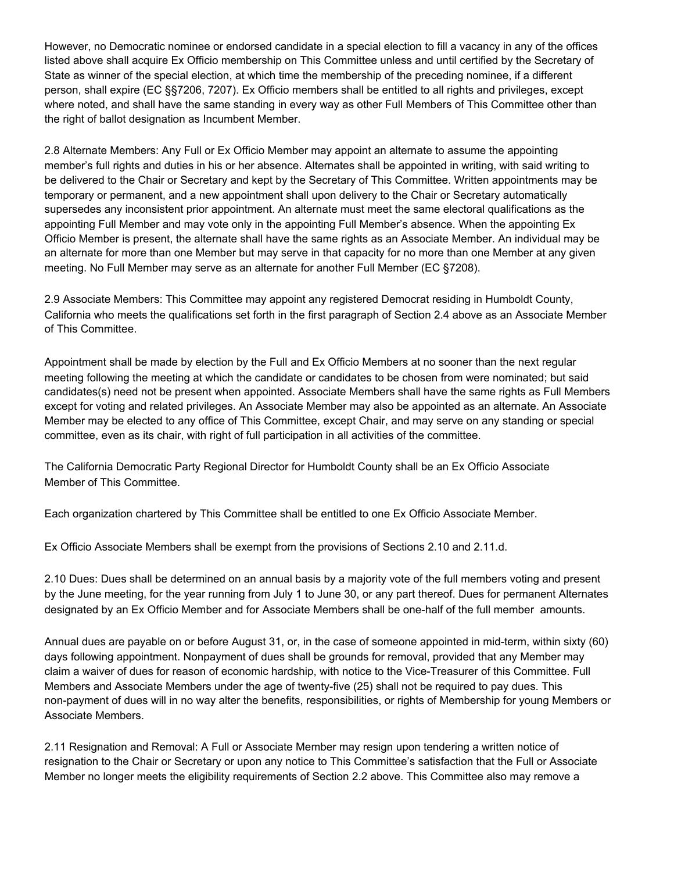However, no Democratic nominee or endorsed candidate in a special election to fill a vacancy in any of the offices listed above shall acquire Ex Officio membership on This Committee unless and until certified by the Secretary of State as winner of the special election, at which time the membership of the preceding nominee, if a different person, shall expire (EC §§7206, 7207). Ex Officio members shall be entitled to all rights and privileges, except where noted, and shall have the same standing in every way as other Full Members of This Committee other than the right of ballot designation as Incumbent Member.

2.8 Alternate Members: Any Full or Ex Officio Member may appoint an alternate to assume the appointing member's full rights and duties in his or her absence. Alternates shall be appointed in writing, with said writing to be delivered to the Chair or Secretary and kept by the Secretary of This Committee. Written appointments may be temporary or permanent, and a new appointment shall upon delivery to the Chair or Secretary automatically supersedes any inconsistent prior appointment. An alternate must meet the same electoral qualifications as the appointing Full Member and may vote only in the appointing Full Member's absence. When the appointing Ex Officio Member is present, the alternate shall have the same rights as an Associate Member. An individual may be an alternate for more than one Member but may serve in that capacity for no more than one Member at any given meeting. No Full Member may serve as an alternate for another Full Member (EC §7208).

2.9 Associate Members: This Committee may appoint any registered Democrat residing in Humboldt County, California who meets the qualifications set forth in the first paragraph of Section 2.4 above as an Associate Member of This Committee.

Appointment shall be made by election by the Full and Ex Officio Members at no sooner than the next regular meeting following the meeting at which the candidate or candidates to be chosen from were nominated; but said candidates(s) need not be present when appointed. Associate Members shall have the same rights as Full Members except for voting and related privileges. An Associate Member may also be appointed as an alternate. An Associate Member may be elected to any office of This Committee, except Chair, and may serve on any standing or special committee, even as its chair, with right of full participation in all activities of the committee.

The California Democratic Party Regional Director for Humboldt County shall be an Ex Officio Associate Member of This Committee.

Each organization chartered by This Committee shall be entitled to one Ex Officio Associate Member.

Ex Officio Associate Members shall be exempt from the provisions of Sections 2.10 and 2.11.d.

2.10 Dues: Dues shall be determined on an annual basis by a majority vote of the full members voting and present by the June meeting, for the year running from July 1 to June 30, or any part thereof. Dues for permanent Alternates designated by an Ex Officio Member and for Associate Members shall be one-half of the full member amounts.

Annual dues are payable on or before August 31, or, in the case of someone appointed in mid-term, within sixty (60) days following appointment. Nonpayment of dues shall be grounds for removal, provided that any Member may claim a waiver of dues for reason of economic hardship, with notice to the Vice-Treasurer of this Committee. Full Members and Associate Members under the age of twenty-five (25) shall not be required to pay dues. This non-payment of dues will in no way alter the benefits, responsibilities, or rights of Membership for young Members or Associate Members.

2.11 Resignation and Removal: A Full or Associate Member may resign upon tendering a written notice of resignation to the Chair or Secretary or upon any notice to This Committee's satisfaction that the Full or Associate Member no longer meets the eligibility requirements of Section 2.2 above. This Committee also may remove a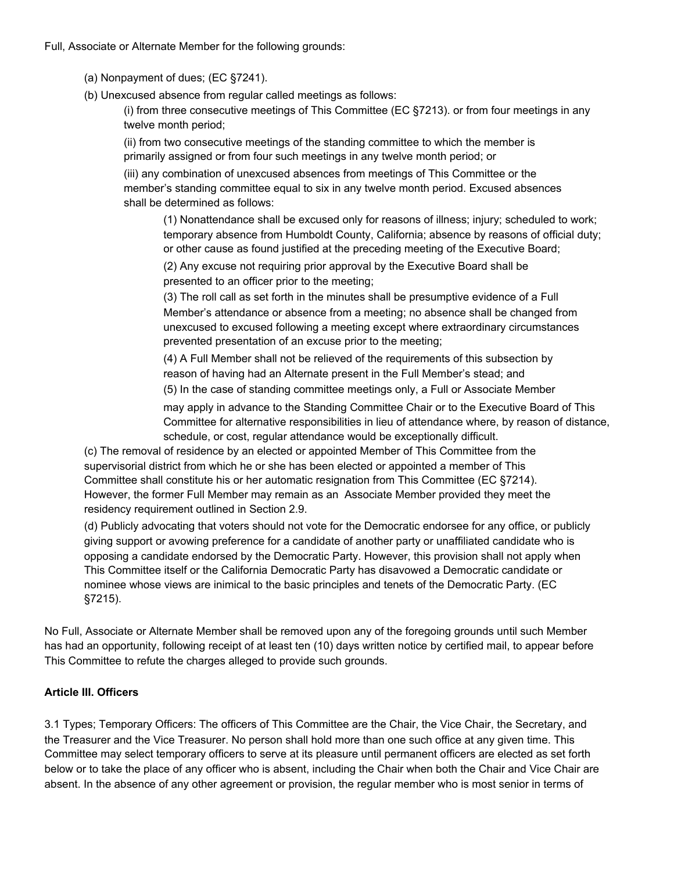Full, Associate or Alternate Member for the following grounds:

- (a) Nonpayment of dues; (EC §7241).
- (b) Unexcused absence from regular called meetings as follows:

(i) from three consecutive meetings of This Committee (EC §7213). or from four meetings in any twelve month period;

(ii) from two consecutive meetings of the standing committee to which the member is primarily assigned or from four such meetings in any twelve month period; or

(iii) any combination of unexcused absences from meetings of This Committee or the member's standing committee equal to six in any twelve month period. Excused absences shall be determined as follows:

(1) Nonattendance shall be excused only for reasons of illness; injury; scheduled to work; temporary absence from Humboldt County, California; absence by reasons of official duty; or other cause as found justified at the preceding meeting of the Executive Board;

(2) Any excuse not requiring prior approval by the Executive Board shall be presented to an officer prior to the meeting;

(3) The roll call as set forth in the minutes shall be presumptive evidence of a Full Member's attendance or absence from a meeting; no absence shall be changed from unexcused to excused following a meeting except where extraordinary circumstances prevented presentation of an excuse prior to the meeting;

(4) A Full Member shall not be relieved of the requirements of this subsection by reason of having had an Alternate present in the Full Member's stead; and

(5) In the case of standing committee meetings only, a Full or Associate Member

may apply in advance to the Standing Committee Chair or to the Executive Board of This Committee for alternative responsibilities in lieu of attendance where, by reason of distance, schedule, or cost, regular attendance would be exceptionally difficult.

(c) The removal of residence by an elected or appointed Member of This Committee from the supervisorial district from which he or she has been elected or appointed a member of This Committee shall constitute his or her automatic resignation from This Committee (EC §7214). However, the former Full Member may remain as an Associate Member provided they meet the residency requirement outlined in Section 2.9.

(d) Publicly advocating that voters should not vote for the Democratic endorsee for any office, or publicly giving support or avowing preference for a candidate of another party or unaffiliated candidate who is opposing a candidate endorsed by the Democratic Party. However, this provision shall not apply when This Committee itself or the California Democratic Party has disavowed a Democratic candidate or nominee whose views are inimical to the basic principles and tenets of the Democratic Party. (EC §7215).

No Full, Associate or Alternate Member shall be removed upon any of the foregoing grounds until such Member has had an opportunity, following receipt of at least ten (10) days written notice by certified mail, to appear before This Committee to refute the charges alleged to provide such grounds.

#### **Article III. Officers**

3.1 Types; Temporary Officers: The officers of This Committee are the Chair, the Vice Chair, the Secretary, and the Treasurer and the Vice Treasurer. No person shall hold more than one such office at any given time. This Committee may select temporary officers to serve at its pleasure until permanent officers are elected as set forth below or to take the place of any officer who is absent, including the Chair when both the Chair and Vice Chair are absent. In the absence of any other agreement or provision, the regular member who is most senior in terms of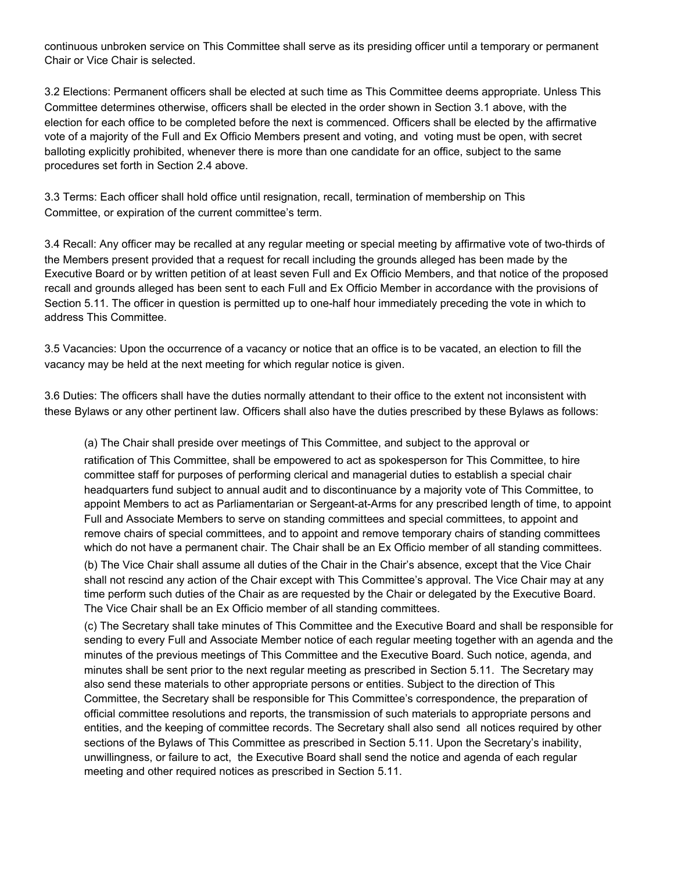continuous unbroken service on This Committee shall serve as its presiding officer until a temporary or permanent Chair or Vice Chair is selected.

3.2 Elections: Permanent officers shall be elected at such time as This Committee deems appropriate. Unless This Committee determines otherwise, officers shall be elected in the order shown in Section 3.1 above, with the election for each office to be completed before the next is commenced. Officers shall be elected by the affirmative vote of a majority of the Full and Ex Officio Members present and voting, and voting must be open, with secret balloting explicitly prohibited, whenever there is more than one candidate for an office, subject to the same procedures set forth in Section 2.4 above.

3.3 Terms: Each officer shall hold office until resignation, recall, termination of membership on This Committee, or expiration of the current committee's term.

3.4 Recall: Any officer may be recalled at any regular meeting or special meeting by affirmative vote of two-thirds of the Members present provided that a request for recall including the grounds alleged has been made by the Executive Board or by written petition of at least seven Full and Ex Officio Members, and that notice of the proposed recall and grounds alleged has been sent to each Full and Ex Officio Member in accordance with the provisions of Section 5.11. The officer in question is permitted up to one-half hour immediately preceding the vote in which to address This Committee.

3.5 Vacancies: Upon the occurrence of a vacancy or notice that an office is to be vacated, an election to fill the vacancy may be held at the next meeting for which regular notice is given.

3.6 Duties: The officers shall have the duties normally attendant to their office to the extent not inconsistent with these Bylaws or any other pertinent law. Officers shall also have the duties prescribed by these Bylaws as follows:

(a) The Chair shall preside over meetings of This Committee, and subject to the approval or ratification of This Committee, shall be empowered to act as spokesperson for This Committee, to hire committee staff for purposes of performing clerical and managerial duties to establish a special chair headquarters fund subject to annual audit and to discontinuance by a majority vote of This Committee, to appoint Members to act as Parliamentarian or Sergeant-at-Arms for any prescribed length of time, to appoint Full and Associate Members to serve on standing committees and special committees, to appoint and remove chairs of special committees, and to appoint and remove temporary chairs of standing committees which do not have a permanent chair. The Chair shall be an Ex Officio member of all standing committees.

(b) The Vice Chair shall assume all duties of the Chair in the Chair's absence, except that the Vice Chair shall not rescind any action of the Chair except with This Committee's approval. The Vice Chair may at any time perform such duties of the Chair as are requested by the Chair or delegated by the Executive Board. The Vice Chair shall be an Ex Officio member of all standing committees.

(c) The Secretary shall take minutes of This Committee and the Executive Board and shall be responsible for sending to every Full and Associate Member notice of each regular meeting together with an agenda and the minutes of the previous meetings of This Committee and the Executive Board. Such notice, agenda, and minutes shall be sent prior to the next regular meeting as prescribed in Section 5.11. The Secretary may also send these materials to other appropriate persons or entities. Subject to the direction of This Committee, the Secretary shall be responsible for This Committee's correspondence, the preparation of official committee resolutions and reports, the transmission of such materials to appropriate persons and entities, and the keeping of committee records. The Secretary shall also send all notices required by other sections of the Bylaws of This Committee as prescribed in Section 5.11. Upon the Secretary's inability, unwillingness, or failure to act, the Executive Board shall send the notice and agenda of each regular meeting and other required notices as prescribed in Section 5.11.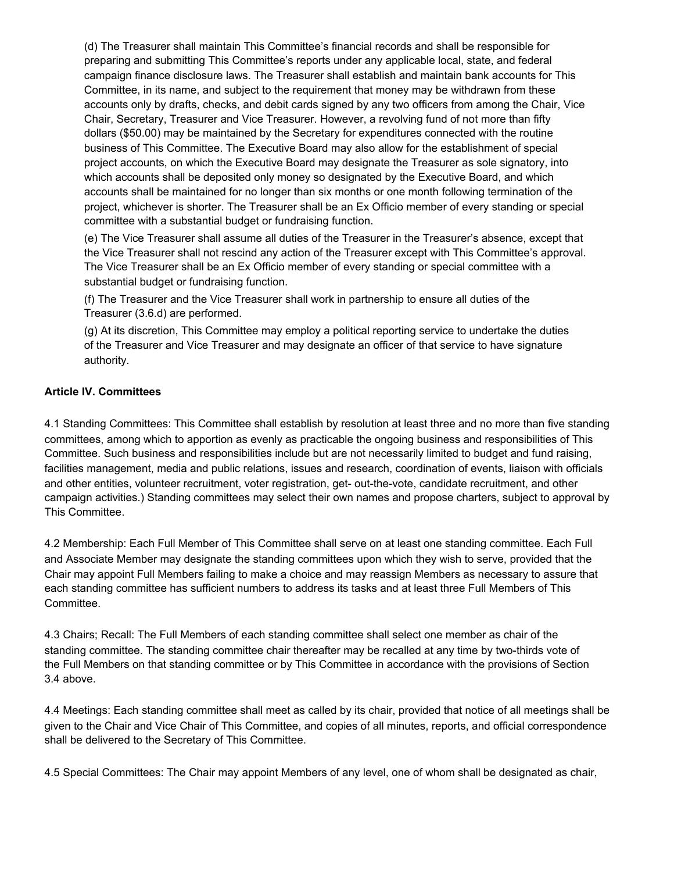(d) The Treasurer shall maintain This Committee's financial records and shall be responsible for preparing and submitting This Committee's reports under any applicable local, state, and federal campaign finance disclosure laws. The Treasurer shall establish and maintain bank accounts for This Committee, in its name, and subject to the requirement that money may be withdrawn from these accounts only by drafts, checks, and debit cards signed by any two officers from among the Chair, Vice Chair, Secretary, Treasurer and Vice Treasurer. However, a revolving fund of not more than fifty dollars (\$50.00) may be maintained by the Secretary for expenditures connected with the routine business of This Committee. The Executive Board may also allow for the establishment of special project accounts, on which the Executive Board may designate the Treasurer as sole signatory, into which accounts shall be deposited only money so designated by the Executive Board, and which accounts shall be maintained for no longer than six months or one month following termination of the project, whichever is shorter. The Treasurer shall be an Ex Officio member of every standing or special committee with a substantial budget or fundraising function.

(e) The Vice Treasurer shall assume all duties of the Treasurer in the Treasurer's absence, except that the Vice Treasurer shall not rescind any action of the Treasurer except with This Committee's approval. The Vice Treasurer shall be an Ex Officio member of every standing or special committee with a substantial budget or fundraising function.

(f) The Treasurer and the Vice Treasurer shall work in partnership to ensure all duties of the Treasurer (3.6.d) are performed.

(g) At its discretion, This Committee may employ a political reporting service to undertake the duties of the Treasurer and Vice Treasurer and may designate an officer of that service to have signature authority.

#### **Article IV. Committees**

4.1 Standing Committees: This Committee shall establish by resolution at least three and no more than five standing committees, among which to apportion as evenly as practicable the ongoing business and responsibilities of This Committee. Such business and responsibilities include but are not necessarily limited to budget and fund raising, facilities management, media and public relations, issues and research, coordination of events, liaison with officials and other entities, volunteer recruitment, voter registration, get- out-the-vote, candidate recruitment, and other campaign activities.) Standing committees may select their own names and propose charters, subject to approval by This Committee.

4.2 Membership: Each Full Member of This Committee shall serve on at least one standing committee. Each Full and Associate Member may designate the standing committees upon which they wish to serve, provided that the Chair may appoint Full Members failing to make a choice and may reassign Members as necessary to assure that each standing committee has sufficient numbers to address its tasks and at least three Full Members of This Committee.

4.3 Chairs; Recall: The Full Members of each standing committee shall select one member as chair of the standing committee. The standing committee chair thereafter may be recalled at any time by two-thirds vote of the Full Members on that standing committee or by This Committee in accordance with the provisions of Section 3.4 above.

4.4 Meetings: Each standing committee shall meet as called by its chair, provided that notice of all meetings shall be given to the Chair and Vice Chair of This Committee, and copies of all minutes, reports, and official correspondence shall be delivered to the Secretary of This Committee.

4.5 Special Committees: The Chair may appoint Members of any level, one of whom shall be designated as chair,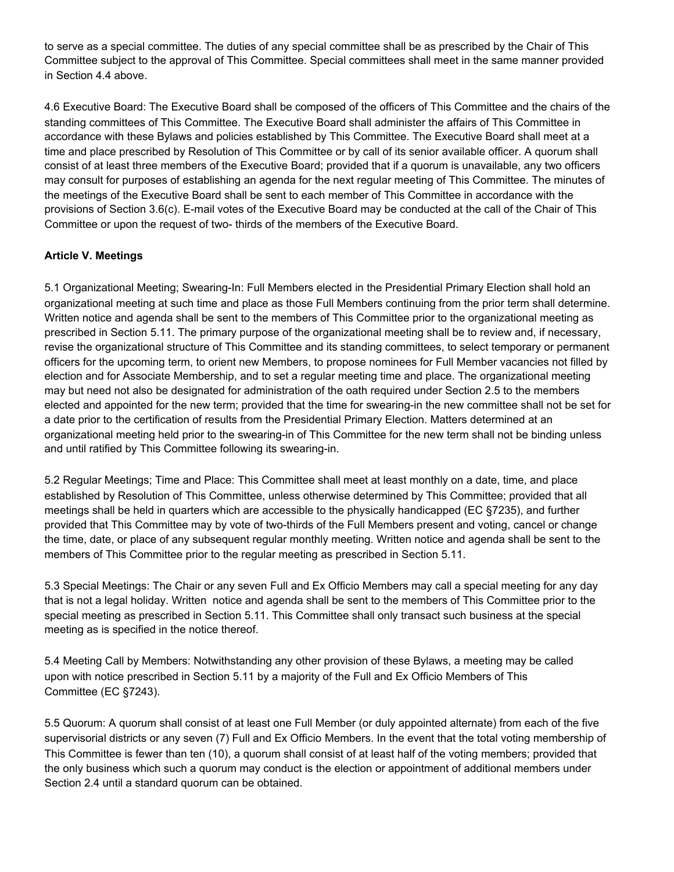to serve as a special committee. The duties of any special committee shall be as prescribed by the Chair of This Committee subject to the approval of This Committee. Special committees shall meet in the same manner provided in Section 4.4 above.

4.6 Executive Board: The Executive Board shall be composed of the officers of This Committee and the chairs of the standing committees of This Committee. The Executive Board shall administer the affairs of This Committee in accordance with these Bylaws and policies established by This Committee. The Executive Board shall meet at a time and place prescribed by Resolution of This Committee or by call of its senior available officer. A quorum shall consist of at least three members of the Executive Board; provided that if a quorum is unavailable, any two officers may consult for purposes of establishing an agenda for the next regular meeting of This Committee. The minutes of the meetings of the Executive Board shall be sent to each member of This Committee in accordance with the provisions of Section 3.6(c). E-mail votes of the Executive Board may be conducted at the call of the Chair of This Committee or upon the request of two- thirds of the members of the Executive Board.

## **Article V. Meetings**

5.1 Organizational Meeting; Swearing-In: Full Members elected in the Presidential Primary Election shall hold an organizational meeting at such time and place as those Full Members continuing from the prior term shall determine. Written notice and agenda shall be sent to the members of This Committee prior to the organizational meeting as prescribed in Section 5.11. The primary purpose of the organizational meeting shall be to review and, if necessary, revise the organizational structure of This Committee and its standing committees, to select temporary or permanent officers for the upcoming term, to orient new Members, to propose nominees for Full Member vacancies not filled by election and for Associate Membership, and to set a regular meeting time and place. The organizational meeting may but need not also be designated for administration of the oath required under Section 2.5 to the members elected and appointed for the new term; provided that the time for swearing-in the new committee shall not be set for a date prior to the certification of results from the Presidential Primary Election. Matters determined at an organizational meeting held prior to the swearing-in of This Committee for the new term shall not be binding unless and until ratified by This Committee following its swearing-in.

5.2 Regular Meetings; Time and Place: This Committee shall meet at least monthly on a date, time, and place established by Resolution of This Committee, unless otherwise determined by This Committee; provided that all meetings shall be held in quarters which are accessible to the physically handicapped (EC §7235), and further provided that This Committee may by vote of two-thirds of the Full Members present and voting, cancel or change the time, date, or place of any subsequent regular monthly meeting. Written notice and agenda shall be sent to the members of This Committee prior to the regular meeting as prescribed in Section 5.11.

5.3 Special Meetings: The Chair or any seven Full and Ex Officio Members may call a special meeting for any day that is not a legal holiday. Written notice and agenda shall be sent to the members of This Committee prior to the special meeting as prescribed in Section 5.11. This Committee shall only transact such business at the special meeting as is specified in the notice thereof.

5.4 Meeting Call by Members: Notwithstanding any other provision of these Bylaws, a meeting may be called upon with notice prescribed in Section 5.11 by a majority of the Full and Ex Officio Members of This Committee (EC §7243).

5.5 Quorum: A quorum shall consist of at least one Full Member (or duly appointed alternate) from each of the five supervisorial districts or any seven (7) Full and Ex Officio Members. In the event that the total voting membership of This Committee is fewer than ten (10), a quorum shall consist of at least half of the voting members; provided that the only business which such a quorum may conduct is the election or appointment of additional members under Section 2.4 until a standard quorum can be obtained.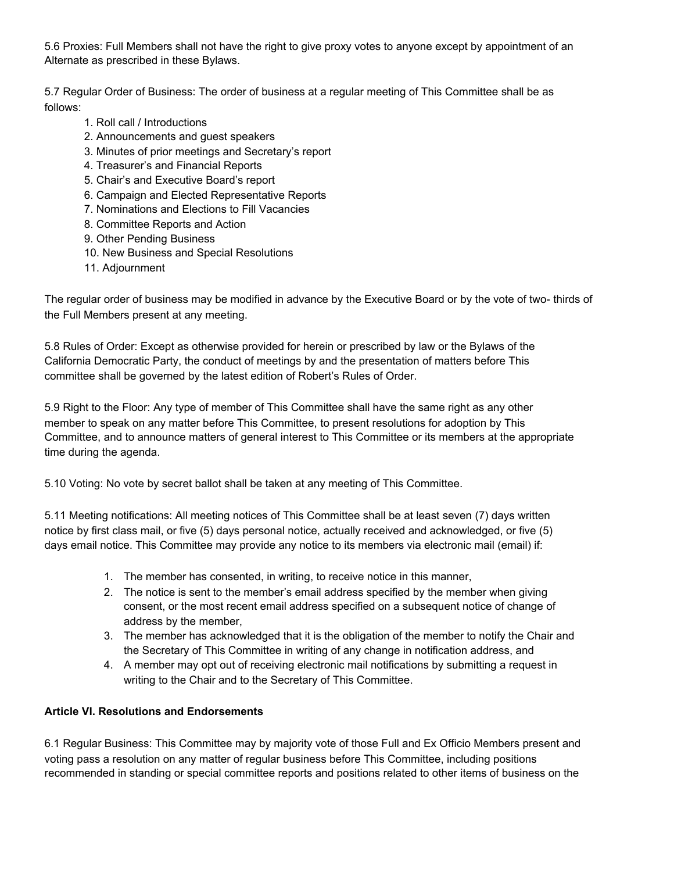5.6 Proxies: Full Members shall not have the right to give proxy votes to anyone except by appointment of an Alternate as prescribed in these Bylaws.

5.7 Regular Order of Business: The order of business at a regular meeting of This Committee shall be as follows:

- 1. Roll call / Introductions
- 2. Announcements and guest speakers
- 3. Minutes of prior meetings and Secretary's report
- 4. Treasurer's and Financial Reports
- 5. Chair's and Executive Board's report
- 6. Campaign and Elected Representative Reports
- 7. Nominations and Elections to Fill Vacancies
- 8. Committee Reports and Action
- 9. Other Pending Business
- 10. New Business and Special Resolutions
- 11. Adjournment

The regular order of business may be modified in advance by the Executive Board or by the vote of two- thirds of the Full Members present at any meeting.

5.8 Rules of Order: Except as otherwise provided for herein or prescribed by law or the Bylaws of the California Democratic Party, the conduct of meetings by and the presentation of matters before This committee shall be governed by the latest edition of Robert's Rules of Order.

5.9 Right to the Floor: Any type of member of This Committee shall have the same right as any other member to speak on any matter before This Committee, to present resolutions for adoption by This Committee, and to announce matters of general interest to This Committee or its members at the appropriate time during the agenda.

5.10 Voting: No vote by secret ballot shall be taken at any meeting of This Committee.

5.11 Meeting notifications: All meeting notices of This Committee shall be at least seven (7) days written notice by first class mail, or five (5) days personal notice, actually received and acknowledged, or five (5) days email notice. This Committee may provide any notice to its members via electronic mail (email) if:

- 1. The member has consented, in writing, to receive notice in this manner,
- 2. The notice is sent to the member's email address specified by the member when giving consent, or the most recent email address specified on a subsequent notice of change of address by the member,
- 3. The member has acknowledged that it is the obligation of the member to notify the Chair and the Secretary of This Committee in writing of any change in notification address, and
- 4. A member may opt out of receiving electronic mail notifications by submitting a request in writing to the Chair and to the Secretary of This Committee.

## **Article VI. Resolutions and Endorsements**

6.1 Regular Business: This Committee may by majority vote of those Full and Ex Officio Members present and voting pass a resolution on any matter of regular business before This Committee, including positions recommended in standing or special committee reports and positions related to other items of business on the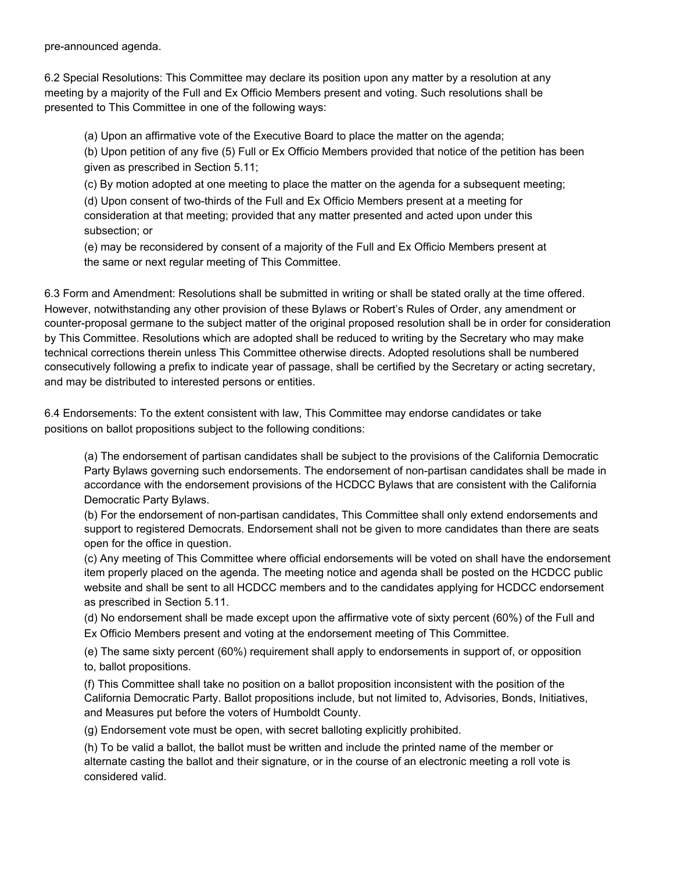pre-announced agenda.

6.2 Special Resolutions: This Committee may declare its position upon any matter by a resolution at any meeting by a majority of the Full and Ex Officio Members present and voting. Such resolutions shall be presented to This Committee in one of the following ways:

(a) Upon an affirmative vote of the Executive Board to place the matter on the agenda;

(b) Upon petition of any five (5) Full or Ex Officio Members provided that notice of the petition has been given as prescribed in Section 5.11;

(c) By motion adopted at one meeting to place the matter on the agenda for a subsequent meeting; (d) Upon consent of two-thirds of the Full and Ex Officio Members present at a meeting for consideration at that meeting; provided that any matter presented and acted upon under this subsection; or

(e) may be reconsidered by consent of a majority of the Full and Ex Officio Members present at the same or next regular meeting of This Committee.

6.3 Form and Amendment: Resolutions shall be submitted in writing or shall be stated orally at the time offered. However, notwithstanding any other provision of these Bylaws or Robert's Rules of Order, any amendment or counter-proposal germane to the subject matter of the original proposed resolution shall be in order for consideration by This Committee. Resolutions which are adopted shall be reduced to writing by the Secretary who may make technical corrections therein unless This Committee otherwise directs. Adopted resolutions shall be numbered consecutively following a prefix to indicate year of passage, shall be certified by the Secretary or acting secretary, and may be distributed to interested persons or entities.

6.4 Endorsements: To the extent consistent with law, This Committee may endorse candidates or take positions on ballot propositions subject to the following conditions:

(a) The endorsement of partisan candidates shall be subject to the provisions of the California Democratic Party Bylaws governing such endorsements. The endorsement of non-partisan candidates shall be made in accordance with the endorsement provisions of the HCDCC Bylaws that are consistent with the California Democratic Party Bylaws.

(b) For the endorsement of non-partisan candidates, This Committee shall only extend endorsements and support to registered Democrats. Endorsement shall not be given to more candidates than there are seats open for the office in question.

(c) Any meeting of This Committee where official endorsements will be voted on shall have the endorsement item properly placed on the agenda. The meeting notice and agenda shall be posted on the HCDCC public website and shall be sent to all HCDCC members and to the candidates applying for HCDCC endorsement as prescribed in Section 5.11.

(d) No endorsement shall be made except upon the affirmative vote of sixty percent (60%) of the Full and Ex Officio Members present and voting at the endorsement meeting of This Committee.

(e) The same sixty percent (60%) requirement shall apply to endorsements in support of, or opposition to, ballot propositions.

(f) This Committee shall take no position on a ballot proposition inconsistent with the position of the California Democratic Party. Ballot propositions include, but not limited to, Advisories, Bonds, Initiatives, and Measures put before the voters of Humboldt County.

(g) Endorsement vote must be open, with secret balloting explicitly prohibited.

(h) To be valid a ballot, the ballot must be written and include the printed name of the member or alternate casting the ballot and their signature, or in the course of an electronic meeting a roll vote is considered valid.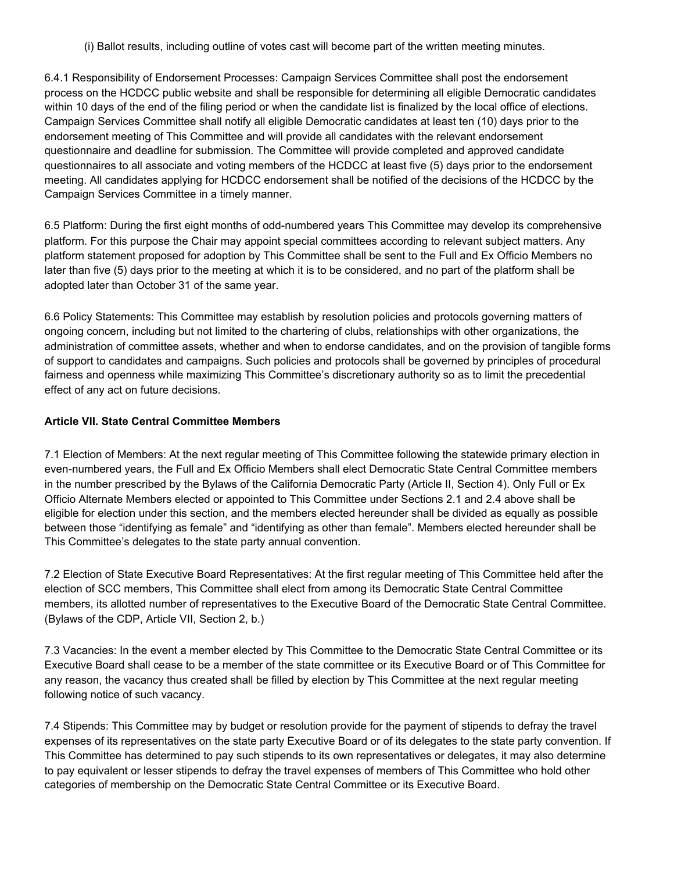(i) Ballot results, including outline of votes cast will become part of the written meeting minutes.

6.4.1 Responsibility of Endorsement Processes: Campaign Services Committee shall post the endorsement process on the HCDCC public website and shall be responsible for determining all eligible Democratic candidates within 10 days of the end of the filing period or when the candidate list is finalized by the local office of elections. Campaign Services Committee shall notify all eligible Democratic candidates at least ten (10) days prior to the endorsement meeting of This Committee and will provide all candidates with the relevant endorsement questionnaire and deadline for submission. The Committee will provide completed and approved candidate questionnaires to all associate and voting members of the HCDCC at least five (5) days prior to the endorsement meeting. All candidates applying for HCDCC endorsement shall be notified of the decisions of the HCDCC by the Campaign Services Committee in a timely manner.

6.5 Platform: During the first eight months of odd-numbered years This Committee may develop its comprehensive platform. For this purpose the Chair may appoint special committees according to relevant subject matters. Any platform statement proposed for adoption by This Committee shall be sent to the Full and Ex Officio Members no later than five (5) days prior to the meeting at which it is to be considered, and no part of the platform shall be adopted later than October 31 of the same year.

6.6 Policy Statements: This Committee may establish by resolution policies and protocols governing matters of ongoing concern, including but not limited to the chartering of clubs, relationships with other organizations, the administration of committee assets, whether and when to endorse candidates, and on the provision of tangible forms of support to candidates and campaigns. Such policies and protocols shall be governed by principles of procedural fairness and openness while maximizing This Committee's discretionary authority so as to limit the precedential effect of any act on future decisions.

# **Article VII. State Central Committee Members**

7.1 Election of Members: At the next regular meeting of This Committee following the statewide primary election in even-numbered years, the Full and Ex Officio Members shall elect Democratic State Central Committee members in the number prescribed by the Bylaws of the California Democratic Party (Article II, Section 4). Only Full or Ex Officio Alternate Members elected or appointed to This Committee under Sections 2.1 and 2.4 above shall be eligible for election under this section, and the members elected hereunder shall be divided as equally as possible between those "identifying as female" and "identifying as other than female". Members elected hereunder shall be This Committee's delegates to the state party annual convention.

7.2 Election of State Executive Board Representatives: At the first regular meeting of This Committee held after the election of SCC members, This Committee shall elect from among its Democratic State Central Committee members, its allotted number of representatives to the Executive Board of the Democratic State Central Committee. (Bylaws of the CDP, Article VII, Section 2, b.)

7.3 Vacancies: In the event a member elected by This Committee to the Democratic State Central Committee or its Executive Board shall cease to be a member of the state committee or its Executive Board or of This Committee for any reason, the vacancy thus created shall be filled by election by This Committee at the next regular meeting following notice of such vacancy.

7.4 Stipends: This Committee may by budget or resolution provide for the payment of stipends to defray the travel expenses of its representatives on the state party Executive Board or of its delegates to the state party convention. If This Committee has determined to pay such stipends to its own representatives or delegates, it may also determine to pay equivalent or lesser stipends to defray the travel expenses of members of This Committee who hold other categories of membership on the Democratic State Central Committee or its Executive Board.